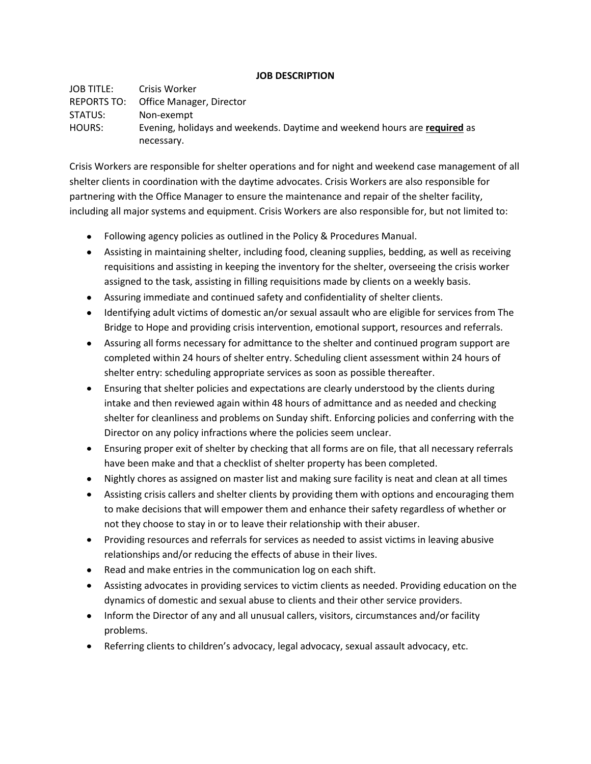## **JOB DESCRIPTION**

JOB TITLE: Crisis Worker REPORTS TO: Office Manager, Director STATUS: Non-exempt HOURS: Evening, holidays and weekends. Daytime and weekend hours are **required** as necessary.

Crisis Workers are responsible for shelter operations and for night and weekend case management of all shelter clients in coordination with the daytime advocates. Crisis Workers are also responsible for partnering with the Office Manager to ensure the maintenance and repair of the shelter facility, including all major systems and equipment. Crisis Workers are also responsible for, but not limited to:

- Following agency policies as outlined in the Policy & Procedures Manual.
- Assisting in maintaining shelter, including food, cleaning supplies, bedding, as well as receiving requisitions and assisting in keeping the inventory for the shelter, overseeing the crisis worker assigned to the task, assisting in filling requisitions made by clients on a weekly basis.
- Assuring immediate and continued safety and confidentiality of shelter clients.
- Identifying adult victims of domestic an/or sexual assault who are eligible for services from The Bridge to Hope and providing crisis intervention, emotional support, resources and referrals.
- Assuring all forms necessary for admittance to the shelter and continued program support are completed within 24 hours of shelter entry. Scheduling client assessment within 24 hours of shelter entry: scheduling appropriate services as soon as possible thereafter.
- Ensuring that shelter policies and expectations are clearly understood by the clients during intake and then reviewed again within 48 hours of admittance and as needed and checking shelter for cleanliness and problems on Sunday shift. Enforcing policies and conferring with the Director on any policy infractions where the policies seem unclear.
- Ensuring proper exit of shelter by checking that all forms are on file, that all necessary referrals have been make and that a checklist of shelter property has been completed.
- Nightly chores as assigned on master list and making sure facility is neat and clean at all times
- Assisting crisis callers and shelter clients by providing them with options and encouraging them to make decisions that will empower them and enhance their safety regardless of whether or not they choose to stay in or to leave their relationship with their abuser.
- Providing resources and referrals for services as needed to assist victims in leaving abusive relationships and/or reducing the effects of abuse in their lives.
- Read and make entries in the communication log on each shift.  $\bullet$
- Assisting advocates in providing services to victim clients as needed. Providing education on the dynamics of domestic and sexual abuse to clients and their other service providers.
- Inform the Director of any and all unusual callers, visitors, circumstances and/or facility problems.
- Referring clients to children's advocacy, legal advocacy, sexual assault advocacy, etc.